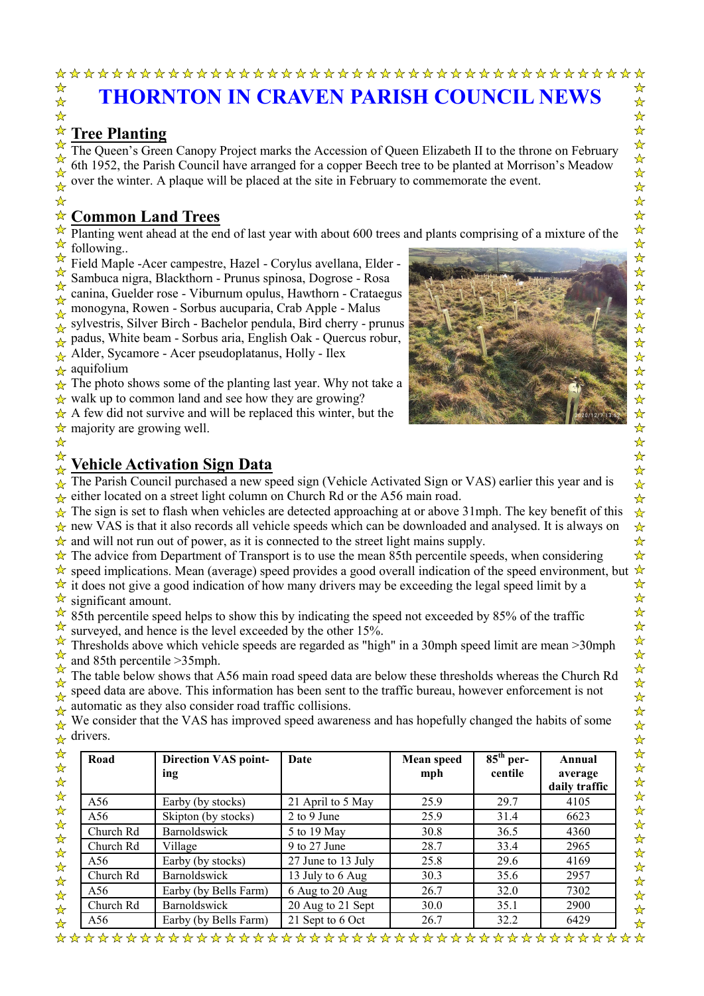## **THORNTON IN CRAVEN PARISH COUNCIL NEWS**

## **Tree Planting**

The Queen's Green Canopy Project marks the Accession of Queen Elizabeth II to the throne on February 6th 1952, the Parish Council have arranged for a copper Beech tree to be planted at Morrison's Meadow over the winter. A plaque will be placed at the site in February to commemorate the event.

# **Common Land Trees**

Planting went ahead at the end of last year with about 600 trees and plants comprising of a mixture of the following..

Field Maple -Acer campestre, Hazel - Corylus avellana, Elder - Sambuca nigra, Blackthorn - Prunus spinosa, Dogrose - Rosa canina, Guelder rose - Viburnum opulus, Hawthorn - Crataegus

monogyna, Rowen - Sorbus aucuparia, Crab Apple - Malus

sylvestris, Silver Birch - Bachelor pendula, Bird cherry - prunus

padus, White beam - Sorbus aria, English Oak - Quercus robur,

Alder, Sycamore - Acer pseudoplatanus, Holly - Ilex

aquifolium

The photo shows some of the planting last year. Why not take a

walk up to common land and see how they are growing?

A few did not survive and will be replaced this winter, but the majority are growing well.



## **Vehicle Activation Sign Data**

The Parish Council purchased a new speed sign (Vehicle Activated Sign or VAS) earlier this year and is either located on a street light column on Church Rd or the A56 main road.

The sign is set to flash when vehicles are detected approaching at or above 31mph. The key benefit of this new VAS is that it also records all vehicle speeds which can be downloaded and analysed. It is always on and will not run out of power, as it is connected to the street light mains supply.

The advice from Department of Transport is to use the mean 85th percentile speeds, when considering

speed implications. Mean (average) speed provides a good overall indication of the speed environment, but

it does not give a good indication of how many drivers may be exceeding the legal speed limit by a significant amount.

85th percentile speed helps to show this by indicating the speed not exceeded by 85% of the traffic surveyed, and hence is the level exceeded by the other 15%.

Thresholds above which vehicle speeds are regarded as "high" in a 30mph speed limit are mean >30mph and 85th percentile >35mph.

The table below shows that A56 main road speed data are below these thresholds whereas the Church Rd speed data are above. This information has been sent to the traffic bureau, however enforcement is not automatic as they also consider road traffic collisions.

We consider that the VAS has improved speed awareness and has hopefully changed the habits of some drivers.

| Road      | <b>Direction VAS point-</b><br>ing | Date               | <b>Mean speed</b><br>mph | $85th$ per-<br>centile | Annual<br>average<br>daily traffic |
|-----------|------------------------------------|--------------------|--------------------------|------------------------|------------------------------------|
| A56       | Earby (by stocks)                  | 21 April to 5 May  | 25.9                     | 29.7                   | 4105                               |
| A56       | Skipton (by stocks)                | $2$ to 9 June      | 25.9                     | 31.4                   | 6623                               |
| Church Rd | Barnoldswick                       | 5 to 19 May        | 30.8                     | 36.5                   | 4360                               |
| Church Rd | Village                            | $9$ to 27 June     | 28.7                     | 33.4                   | 2965                               |
| A56       | Earby (by stocks)                  | 27 June to 13 July | 25.8                     | 29.6                   | 4169                               |
| Church Rd | Barnoldswick                       | 13 July to 6 Aug   | 30.3                     | 35.6                   | 2957                               |
| A56       | Earby (by Bells Farm)              | 6 Aug to 20 Aug    | 26.7                     | 32.0                   | 7302                               |
| Church Rd | Barnoldswick                       | 20 Aug to 21 Sept  | 30.0                     | 35.1                   | 2900                               |
| A56       | Earby (by Bells Farm)              | 21 Sept to 6 Oct   | 26.7                     | 32.2                   | 6429                               |

 $\overline{\mathbf{r}}$